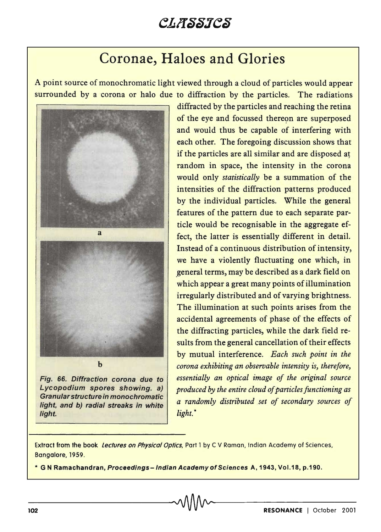## CLASSICS

## Coronae, Haloes and Glories

A point source of monochromatic light viewed through a cloud of particles would appear surrounded by a corona or halo due to diffraction by the particles. The radiations



Fig. 66. Diffraction corona due to Lycopodium spores showing. a) Granular structure in monochromatic light, and b) radial streaks in white light.

diffracted by the particles and reaching the retina of the eye and focussed thereon are superposed and would thus be capable of interfering with each other. The foregoing discussion shows that if the particles are all similar and are disposed at random in space, the intensity in the corona would only *statistically* be a summation of the intensities of the diffraction patterns produced by the individual particles. While the general features of the pattern due to each separate particle would be recognisable in the aggregate effect, the latter is essentially different in detail. Instead of a continuous distribution of intensity, we have a violently fluctuating one which, in .general terms, may be described as a dark field on which appear a great many points of illumination irregularly distributed and of varying brightness. The illumination at such points arises from the accidental agreements of phase of the effects of the diffracting particles, while the dark field results from the general cancellation of their effects by mutual interference. *Each such point in the corona exhibiting an observable intensity is, therefore, essentially an optical image of the original source produced by the entire cloud of particles functioning as a randomly distributed set of secondary sources of light.* \*

Extract from the book Lectures on Physical Optics, Part 1 by C V Raman, Indian Academy of Sciences, Bangalore, 1959.

\* G N Ramachandran, Proceedings - Indian Academy of Sciences A, 1943, Vol.18, p.190.